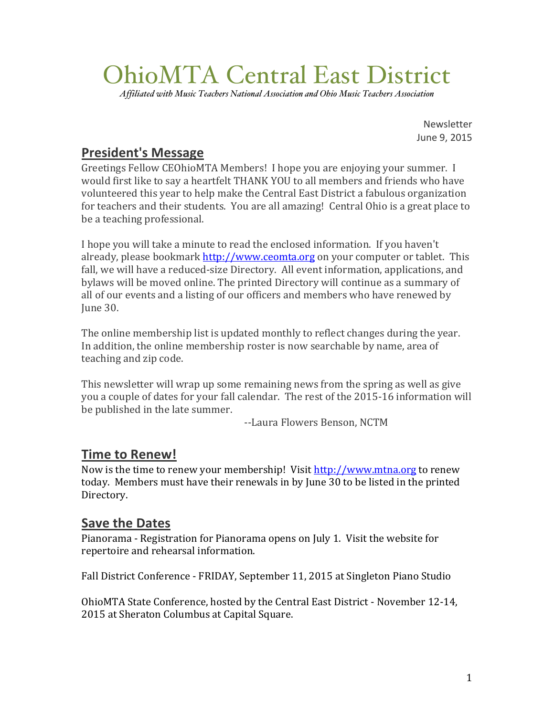# OhioMTA Central East District

*Affiliated with Music Teachers National Association and Ohio Music Teachers Association*

Newsletter June 9, 2015

# **President's Message**

Greetings Fellow CEOhioMTA Members! I hope you are enjoying your summer. I would first like to say a heartfelt THANK YOU to all members and friends who have volunteered this year to help make the Central East District a fabulous organization for teachers and their students. You are all amazing! Central Ohio is a great place to be a teaching professional.

I hope you will take a minute to read the enclosed information. If you haven't already, please bookmark http://www.ceomta.org on your computer or tablet. This fall, we will have a reduced-size Directory. All event information, applications, and bylaws will be moved online. The printed Directory will continue as a summary of all of our events and a listing of our officers and members who have renewed by June 30. 

The online membership list is updated monthly to reflect changes during the year. In addition, the online membership roster is now searchable by name, area of teaching and zip code.

This newsletter will wrap up some remaining news from the spring as well as give you a couple of dates for your fall calendar. The rest of the 2015-16 information will be published in the late summer.

--Laura Flowers Benson, NCTM

## **Time to Renew!**

Now is the time to renew your membership! Visit http://www.mtna.org to renew today. Members must have their renewals in by June 30 to be listed in the printed Directory.

## **Save the Dates**

Pianorama - Registration for Pianorama opens on July 1. Visit the website for repertoire and rehearsal information.

Fall District Conference - FRIDAY, September 11, 2015 at Singleton Piano Studio

OhioMTA State Conference, hosted by the Central East District - November 12-14, 2015 at Sheraton Columbus at Capital Square.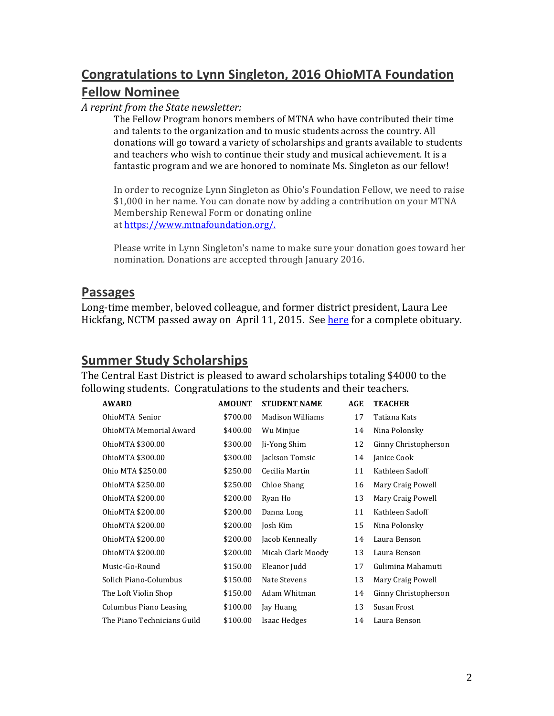# **Congratulations to Lynn Singleton, 2016 OhioMTA Foundation Fellow Nominee**

#### *A reprint from the State newsletter:*

The Fellow Program honors members of MTNA who have contributed their time and talents to the organization and to music students across the country. All donations will go toward a variety of scholarships and grants available to students and teachers who wish to continue their study and musical achievement. It is a fantastic program and we are honored to nominate Ms. Singleton as our fellow!

In order to recognize Lynn Singleton as Ohio's Foundation Fellow, we need to raise \$1,000 in her name. You can donate now by adding a contribution on your MTNA Membership Renewal Form or donating online at https://www.mtnafoundation.org/.

Please write in Lynn Singleton's name to make sure your donation goes toward her nomination. Donations are accepted through January 2016.

#### **Passages**

Long-time member, beloved colleague, and former district president, Laura Lee Hickfang, NCTM passed away on April 11, 2015. See here for a complete obituary.

## **Summer Study Scholarships**

The Central East District is pleased to award scholarships totaling \$4000 to the following students. Congratulations to the students and their teachers.

| <b>AWARD</b>                | <b>AMOUNT</b> | <b>STUDENT NAME</b>     | AGE | <b>TEACHER</b>       |
|-----------------------------|---------------|-------------------------|-----|----------------------|
| OhioMTA Senior              | \$700.00      | <b>Madison Williams</b> | 17  | Tatiana Kats         |
| OhioMTA Memorial Award      | \$400.00      | Wu Minjue               | 14  | Nina Polonsky        |
| OhioMTA \$300.00            | \$300.00      | Ji-Yong Shim            | 12  | Ginny Christopherson |
| OhioMTA \$300.00            | \$300.00      | Jackson Tomsic          | 14  | Janice Cook          |
| Ohio MTA \$250.00           | \$250.00      | Cecilia Martin          | 11  | Kathleen Sadoff      |
| OhioMTA \$250.00            | \$250.00      | Chloe Shang             | 16  | Mary Craig Powell    |
| OhioMTA \$200.00            | \$200.00      | Ryan Ho                 | 13  | Mary Craig Powell    |
| OhioMTA \$200.00            | \$200.00      | Danna Long              | 11  | Kathleen Sadoff      |
| OhioMTA \$200.00            | \$200.00      | Josh Kim                | 15  | Nina Polonsky        |
| OhioMTA \$200.00            | \$200.00      | Jacob Kenneally         | 14  | Laura Benson         |
| OhioMTA \$200.00            | \$200.00      | Micah Clark Moody       | 13  | Laura Benson         |
| Music-Go-Round              | \$150.00      | Eleanor Judd            | 17  | Gulimina Mahamuti    |
| Solich Piano-Columbus       | \$150.00      | Nate Stevens            | 13  | Mary Craig Powell    |
| The Loft Violin Shop        | \$150.00      | Adam Whitman            | 14  | Ginny Christopherson |
| Columbus Piano Leasing      | \$100.00      | Jay Huang               | 13  | Susan Frost          |
| The Piano Technicians Guild | \$100.00      | Isaac Hedges            | 14  | Laura Benson         |